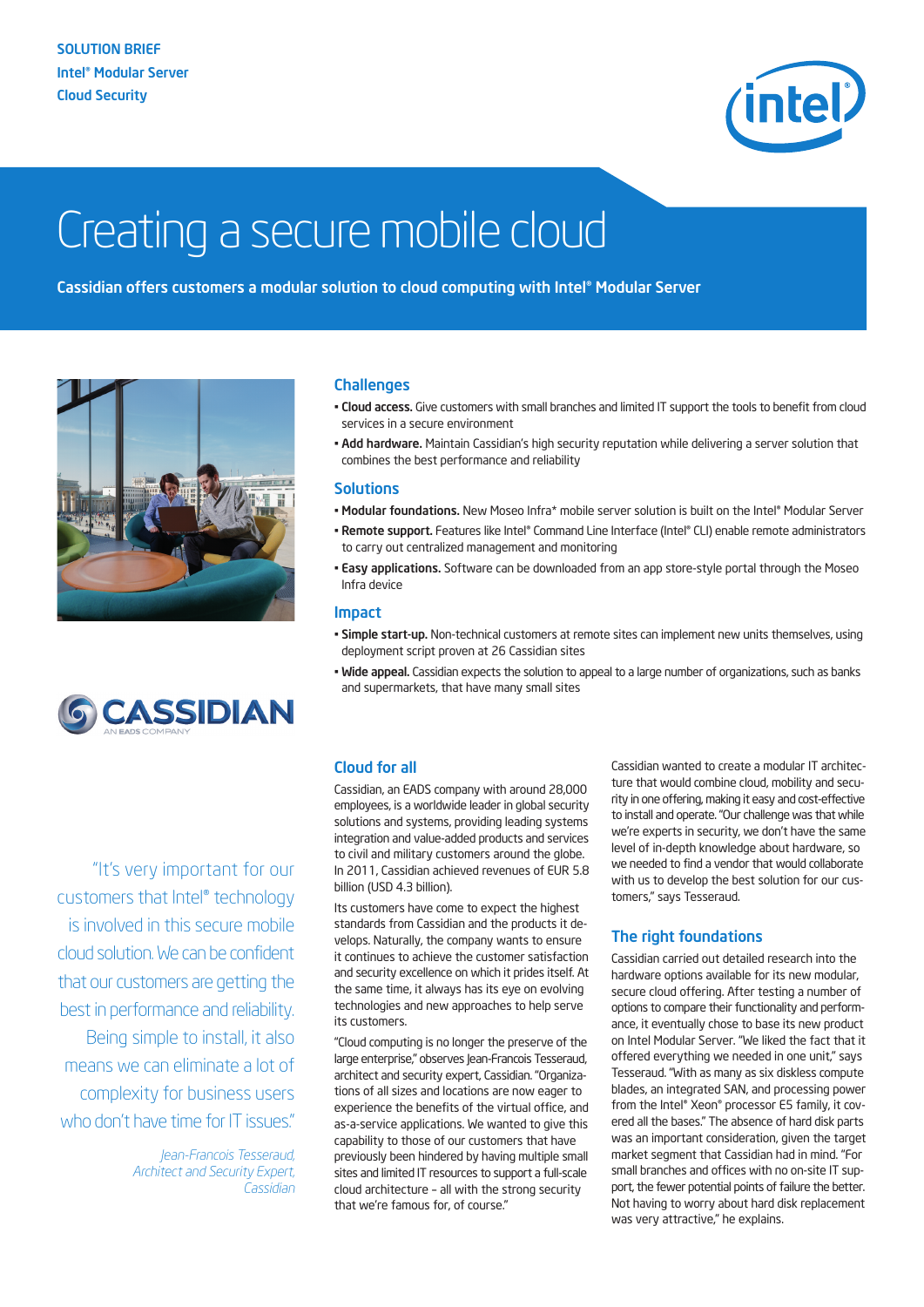

# Creating a secure mobile cloud

Cassidian offers customers a modular solution to cloud computing with Intel® Modular Server





"It's very important for our customers that Intel® technology is involved in this secure mobile cloud solution.We can be confident that our customers are getting the bestin performance and reliability. Being simple to install, it also means we can eliminate a lot of complexity for business users who don't have time for IT issues."

> *Jean-Francois Tesseraud, Architect and Security Expert, Cassidian*

# **Challenges**

- Cloud access. Give customers with small branches and limited IT support the tools to benefit from cloud services in a secure environment
- Add hardware. Maintain Cassidian's high security reputation while delivering a server solution that combines the best performance and reliability

#### **Solutions**

- Modular foundations. New Moseo Infra\* mobile server solution is built on the Intel® Modular Server
- Remote support. Features like Intel® Command Line Interface (Intel® CLI) enable remote administrators to carry out centralized management and monitoring
- Easy applications. Software can be downloaded from an app store-style portal through the Moseo Infra device

#### Impact

- Simple start-up. Non-technical customers at remote sites can implement new units themselves, using deployment script proven at 26 Cassidian sites
- Wide appeal. Cassidian expects the solution to appeal to a large number of organizations, such as banks and supermarkets, that have many small sites

# Cloud for all

Cassidian, an EADS company with around 28,000 employees, is a worldwide leader in global security solutions and systems, providing leading systems integration and value-added products and services to civil and military customers around the globe. In 2011, Cassidian achieved revenues of EUR 5.8 billion (USD 4.3 billion).

Its customers have come to expect the highest standards from Cassidian and the products it develops. Naturally, the company wants to ensure it continues to achieve the customer satisfaction and security excellence on which it prides itself. At the same time, it always has its eye on evolving technologies and new approaches to help serve its customers.

"Cloud computing is no longer the preserve of the large enterprise," observes Jean-Francois Tesseraud, architect and security expert, Cassidian. "Organizations of all sizes and locations are now eager to experience the benefits of the virtual office, and as-a-service applications. We wanted to give this capability to those of our customers that have previously been hindered by having multiple small sites and limited IT resources to support a full-scale cloud architecture – all with the strong security that we're famous for, of course."

Cassidian wanted to create a modular IT architecture that would combine cloud, mobility and security in one offering, making it easy and cost-effective to install and operate. "Our challenge was that while we're experts in security, we don't have the same level of in-depth knowledge about hardware, so we needed to find a vendor that would collaborate with us to develop the best solution for our customers," says Tesseraud.

# The right foundations

Cassidian carried out detailed research into the hardware options available for its new modular, secure cloud offering. After testing a number of options to compare their functionality and performance, it eventually chose to base its new product on Intel Modular Server. "We liked the fact that it offered everything we needed in one unit," says Tesseraud. "With as many as six diskless compute blades, an integrated SAN, and processing power from the Intel® Xeon® processor E5 family, it covered all the bases." The absence of hard disk parts was an important consideration, given the target market segment that Cassidian had in mind. "For small branches and offices with no on-site IT support, the fewer potential points of failure the better. Not having to worry about hard disk replacement was very attractive," he explains.